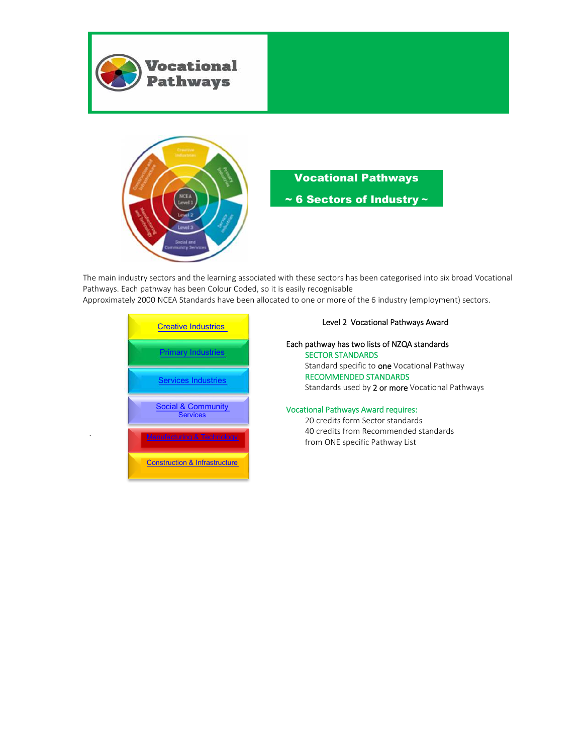



### Vocational Pathways

~ 6 Sectors of Industry **~** 

The main industry sectors and the learning associated with these sectors has been categorised into six broad Vocational Pathways. Each pathway has been Colour Coded, so it is easily recognisable

Approximately 2000 NCEA Standards have been allocated to one or more of the 6 industry (employment) sectors.



.

#### Level 2 Vocational Pathways Award

Each pathway has two lists of NZQA standards SECTOR STANDARDS Standard specific to one Vocational Pathway RECOMMENDED STANDARDS Standards used by 2 or more Vocational Pathways

#### Vocational Pathways Award requires:

20 credits form Sector standards 40 credits from Recommended standards from ONE specific Pathway List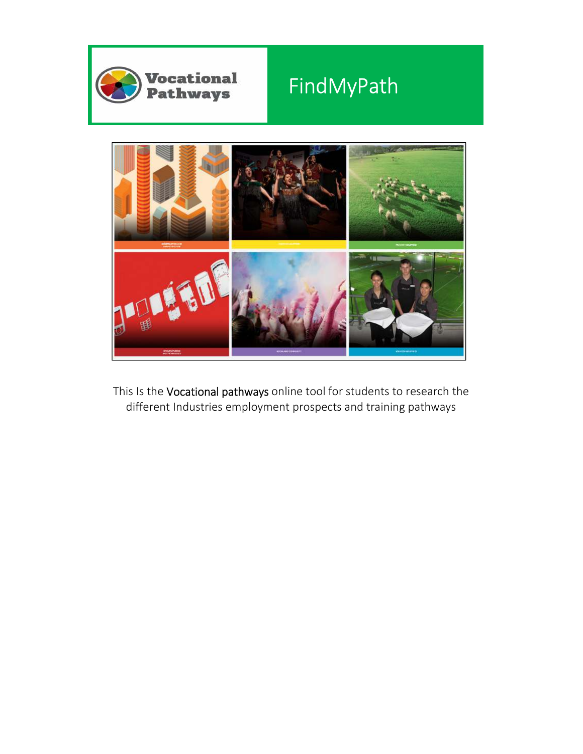

# FindMyPath



This Is the Vocational pathways online tool for students to research the different Industries employment prospects and training pathways